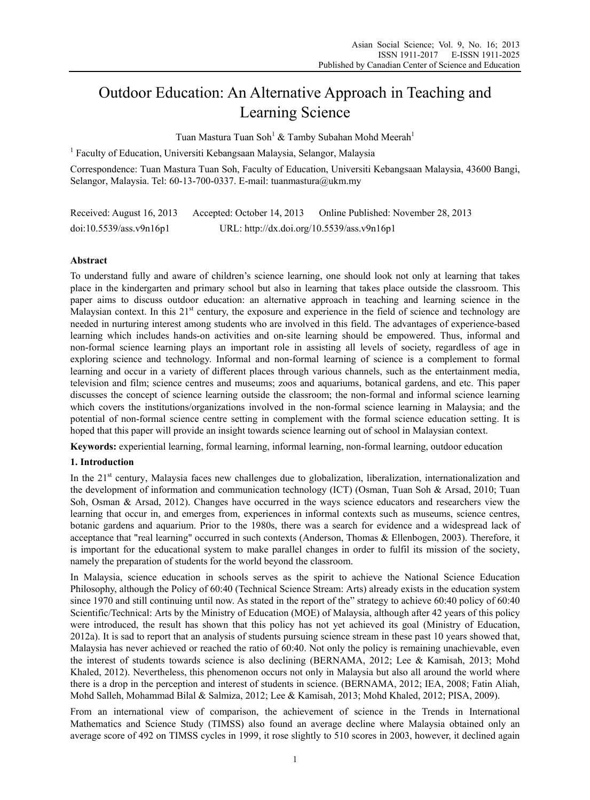# Outdoor Education: An Alternative Approach in Teaching and Learning Science

Tuan Mastura Tuan Soh<sup>1</sup> & Tamby Subahan Mohd Meerah<sup>1</sup>

<sup>1</sup> Faculty of Education, Universiti Kebangsaan Malaysia, Selangor, Malaysia

Correspondence: Tuan Mastura Tuan Soh, Faculty of Education, Universiti Kebangsaan Malaysia, 43600 Bangi, Selangor, Malaysia. Tel: 60-13-700-0337. E-mail: tuanmastura@ukm.my

Received: August 16, 2013 Accepted: October 14, 2013 Online Published: November 28, 2013 doi:10.5539/ass.v9n16p1 URL: http://dx.doi.org/10.5539/ass.v9n16p1

## **Abstract**

To understand fully and aware of children's science learning, one should look not only at learning that takes place in the kindergarten and primary school but also in learning that takes place outside the classroom. This paper aims to discuss outdoor education: an alternative approach in teaching and learning science in the Malaysian context. In this  $21<sup>st</sup>$  century, the exposure and experience in the field of science and technology are needed in nurturing interest among students who are involved in this field. The advantages of experience-based learning which includes hands-on activities and on-site learning should be empowered. Thus, informal and non-formal science learning plays an important role in assisting all levels of society, regardless of age in exploring science and technology. Informal and non-formal learning of science is a complement to formal learning and occur in a variety of different places through various channels, such as the entertainment media, television and film; science centres and museums; zoos and aquariums, botanical gardens, and etc. This paper discusses the concept of science learning outside the classroom; the non-formal and informal science learning which covers the institutions/organizations involved in the non-formal science learning in Malaysia; and the potential of non-formal science centre setting in complement with the formal science education setting. It is hoped that this paper will provide an insight towards science learning out of school in Malaysian context.

**Keywords:** experiential learning, formal learning, informal learning, non-formal learning, outdoor education

## **1. Introduction**

In the  $21<sup>st</sup>$  century, Malaysia faces new challenges due to globalization, liberalization, internationalization and the development of information and communication technology (ICT) (Osman, Tuan Soh & Arsad, 2010; Tuan Soh, Osman & Arsad, 2012). Changes have occurred in the ways science educators and researchers view the learning that occur in, and emerges from, experiences in informal contexts such as museums, science centres, botanic gardens and aquarium. Prior to the 1980s, there was a search for evidence and a widespread lack of acceptance that "real learning" occurred in such contexts (Anderson, Thomas & Ellenbogen, 2003). Therefore, it is important for the educational system to make parallel changes in order to fulfil its mission of the society, namely the preparation of students for the world beyond the classroom.

In Malaysia, science education in schools serves as the spirit to achieve the National Science Education Philosophy, although the Policy of 60:40 (Technical Science Stream: Arts) already exists in the education system since 1970 and still continuing until now. As stated in the report of the" strategy to achieve 60:40 policy of 60:40 Scientific/Technical: Arts by the Ministry of Education (MOE) of Malaysia, although after 42 years of this policy were introduced, the result has shown that this policy has not yet achieved its goal (Ministry of Education, 2012a). It is sad to report that an analysis of students pursuing science stream in these past 10 years showed that, Malaysia has never achieved or reached the ratio of 60:40. Not only the policy is remaining unachievable, even the interest of students towards science is also declining (BERNAMA, 2012; Lee & Kamisah, 2013; Mohd Khaled, 2012). Nevertheless, this phenomenon occurs not only in Malaysia but also all around the world where there is a drop in the perception and interest of students in science. (BERNAMA, 2012; IEA, 2008; Fatin Aliah, Mohd Salleh, Mohammad Bilal & Salmiza, 2012; Lee & Kamisah, 2013; Mohd Khaled, 2012; PISA, 2009).

From an international view of comparison, the achievement of science in the Trends in International Mathematics and Science Study (TIMSS) also found an average decline where Malaysia obtained only an average score of 492 on TIMSS cycles in 1999, it rose slightly to 510 scores in 2003, however, it declined again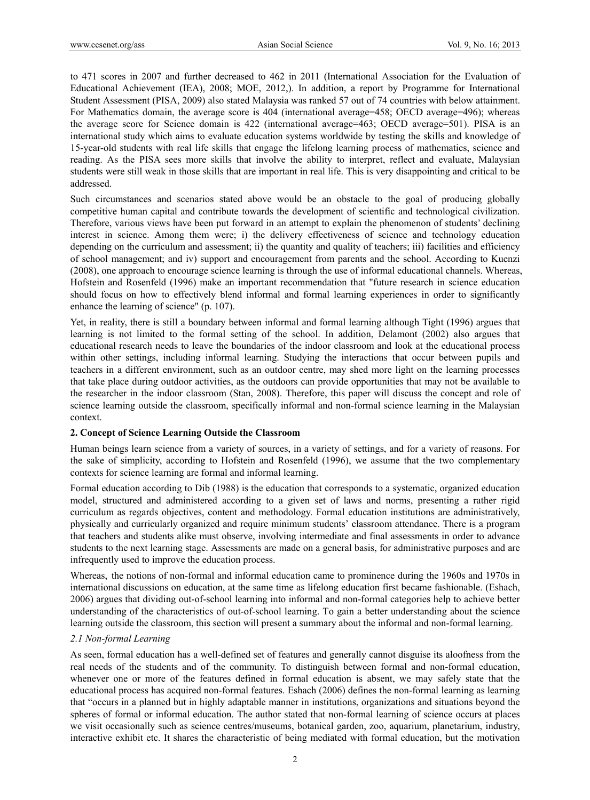to 471 scores in 2007 and further decreased to 462 in 2011 (International Association for the Evaluation of Educational Achievement (IEA), 2008; MOE, 2012,). In addition, a report by Programme for International Student Assessment (PISA, 2009) also stated Malaysia was ranked 57 out of 74 countries with below attainment. For Mathematics domain, the average score is 404 (international average=458; OECD average=496); whereas the average score for Science domain is 422 (international average=463; OECD average=501). PISA is an international study which aims to evaluate education systems worldwide by testing the skills and knowledge of 15-year-old students with real life skills that engage the lifelong learning process of mathematics, science and reading. As the PISA sees more skills that involve the ability to interpret, reflect and evaluate, Malaysian students were still weak in those skills that are important in real life. This is very disappointing and critical to be addressed.

Such circumstances and scenarios stated above would be an obstacle to the goal of producing globally competitive human capital and contribute towards the development of scientific and technological civilization. Therefore, various views have been put forward in an attempt to explain the phenomenon of students' declining interest in science. Among them were; i) the delivery effectiveness of science and technology education depending on the curriculum and assessment; ii) the quantity and quality of teachers; iii) facilities and efficiency of school management; and iv) support and encouragement from parents and the school. According to Kuenzi (2008), one approach to encourage science learning is through the use of informal educational channels. Whereas, Hofstein and Rosenfeld (1996) make an important recommendation that "future research in science education should focus on how to effectively blend informal and formal learning experiences in order to significantly enhance the learning of science" (p. 107).

Yet, in reality, there is still a boundary between informal and formal learning although Tight (1996) argues that learning is not limited to the formal setting of the school. In addition, Delamont (2002) also argues that educational research needs to leave the boundaries of the indoor classroom and look at the educational process within other settings, including informal learning. Studying the interactions that occur between pupils and teachers in a different environment, such as an outdoor centre, may shed more light on the learning processes that take place during outdoor activities, as the outdoors can provide opportunities that may not be available to the researcher in the indoor classroom (Stan, 2008). Therefore, this paper will discuss the concept and role of science learning outside the classroom, specifically informal and non-formal science learning in the Malaysian context.

## **2. Concept of Science Learning Outside the Classroom**

Human beings learn science from a variety of sources, in a variety of settings, and for a variety of reasons. For the sake of simplicity, according to Hofstein and Rosenfeld (1996), we assume that the two complementary contexts for science learning are formal and informal learning.

Formal education according to Dib (1988) is the education that corresponds to a systematic, organized education model, structured and administered according to a given set of laws and norms, presenting a rather rigid curriculum as regards objectives, content and methodology. Formal education institutions are administratively, physically and curricularly organized and require minimum students' classroom attendance. There is a program that teachers and students alike must observe, involving intermediate and final assessments in order to advance students to the next learning stage. Assessments are made on a general basis, for administrative purposes and are infrequently used to improve the education process.

Whereas, the notions of non-formal and informal education came to prominence during the 1960s and 1970s in international discussions on education, at the same time as lifelong education first became fashionable. (Eshach, 2006) argues that dividing out-of-school learning into informal and non-formal categories help to achieve better understanding of the characteristics of out-of-school learning. To gain a better understanding about the science learning outside the classroom, this section will present a summary about the informal and non-formal learning.

## *2.1 Non-formal Learning*

As seen, formal education has a well-defined set of features and generally cannot disguise its aloofness from the real needs of the students and of the community. To distinguish between formal and non-formal education, whenever one or more of the features defined in formal education is absent, we may safely state that the educational process has acquired non-formal features. Eshach (2006) defines the non-formal learning as learning that "occurs in a planned but in highly adaptable manner in institutions, organizations and situations beyond the spheres of formal or informal education. The author stated that non-formal learning of science occurs at places we visit occasionally such as science centres/museums, botanical garden, zoo, aquarium, planetarium, industry, interactive exhibit etc. It shares the characteristic of being mediated with formal education, but the motivation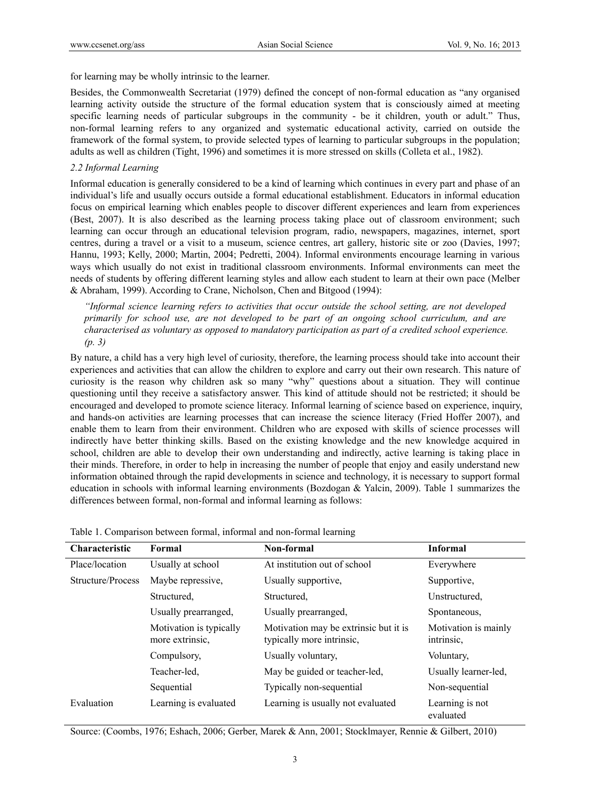for learning may be wholly intrinsic to the learner.

Besides, the Commonwealth Secretariat (1979) defined the concept of non-formal education as "any organised learning activity outside the structure of the formal education system that is consciously aimed at meeting specific learning needs of particular subgroups in the community - be it children, youth or adult." Thus, non-formal learning refers to any organized and systematic educational activity, carried on outside the framework of the formal system, to provide selected types of learning to particular subgroups in the population; adults as well as children (Tight, 1996) and sometimes it is more stressed on skills (Colleta et al., 1982).

## *2.2 Informal Learning*

Informal education is generally considered to be a kind of learning which continues in every part and phase of an individual's life and usually occurs outside a formal educational establishment. Educators in informal education focus on empirical learning which enables people to discover different experiences and learn from experiences (Best, 2007). It is also described as the learning process taking place out of classroom environment; such learning can occur through an educational television program, radio, newspapers, magazines, internet, sport centres, during a travel or a visit to a museum, science centres, art gallery, historic site or zoo (Davies, 1997; Hannu, 1993; Kelly, 2000; Martin, 2004; Pedretti, 2004). Informal environments encourage learning in various ways which usually do not exist in traditional classroom environments. Informal environments can meet the needs of students by offering different learning styles and allow each student to learn at their own pace (Melber & Abraham, 1999). According to Crane, Nicholson, Chen and Bitgood (1994):

*"Informal science learning refers to activities that occur outside the school setting, are not developed primarily for school use, are not developed to be part of an ongoing school curriculum, and are characterised as voluntary as opposed to mandatory participation as part of a credited school experience. (p. 3)* 

By nature, a child has a very high level of curiosity, therefore, the learning process should take into account their experiences and activities that can allow the children to explore and carry out their own research. This nature of curiosity is the reason why children ask so many "why" questions about a situation. They will continue questioning until they receive a satisfactory answer. This kind of attitude should not be restricted; it should be encouraged and developed to promote science literacy. Informal learning of science based on experience, inquiry, and hands-on activities are learning processes that can increase the science literacy (Fried Hoffer 2007), and enable them to learn from their environment. Children who are exposed with skills of science processes will indirectly have better thinking skills. Based on the existing knowledge and the new knowledge acquired in school, children are able to develop their own understanding and indirectly, active learning is taking place in their minds. Therefore, in order to help in increasing the number of people that enjoy and easily understand new information obtained through the rapid developments in science and technology, it is necessary to support formal education in schools with informal learning environments (Bozdogan & Yalcin, 2009). Table 1 summarizes the differences between formal, non-formal and informal learning as follows:

| <b>Characteristic</b> | Formal                                     | Non-formal                                                         | <b>Informal</b>                    |
|-----------------------|--------------------------------------------|--------------------------------------------------------------------|------------------------------------|
| Place/location        | Usually at school                          | At institution out of school                                       | Everywhere                         |
| Structure/Process     | Maybe repressive,                          | Usually supportive,                                                | Supportive,                        |
|                       | Structured.                                | Structured.                                                        | Unstructured.                      |
|                       | Usually prearranged,                       | Usually prearranged,                                               | Spontaneous,                       |
|                       | Motivation is typically<br>more extrinsic. | Motivation may be extrinsic but it is<br>typically more intrinsic, | Motivation is mainly<br>intrinsic. |
|                       | Compulsory,                                | Usually voluntary,                                                 | Voluntary,                         |
|                       | Teacher-led,                               | May be guided or teacher-led,                                      | Usually learner-led,               |
|                       | Sequential                                 | Typically non-sequential                                           | Non-sequential                     |
| Evaluation            | Learning is evaluated                      | Learning is usually not evaluated                                  | Learning is not<br>evaluated       |

Table 1. Comparison between formal, informal and non-formal learning

Source: (Coombs, 1976; Eshach, 2006; Gerber, Marek & Ann, 2001; Stocklmayer, Rennie & Gilbert, 2010)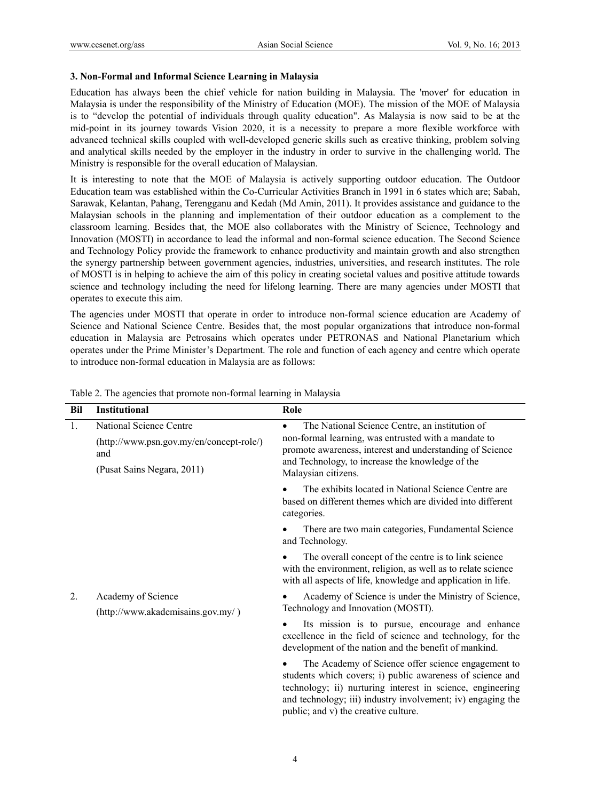## **3. Non-Formal and Informal Science Learning in Malaysia**

Education has always been the chief vehicle for nation building in Malaysia. The 'mover' for education in Malaysia is under the responsibility of the Ministry of Education (MOE). The mission of the MOE of Malaysia is to "develop the potential of individuals through quality education". As Malaysia is now said to be at the mid-point in its journey towards Vision 2020, it is a necessity to prepare a more flexible workforce with advanced technical skills coupled with well-developed generic skills such as creative thinking, problem solving and analytical skills needed by the employer in the industry in order to survive in the challenging world. The Ministry is responsible for the overall education of Malaysian.

It is interesting to note that the MOE of Malaysia is actively supporting outdoor education. The Outdoor Education team was established within the Co-Curricular Activities Branch in 1991 in 6 states which are; Sabah, Sarawak, Kelantan, Pahang, Terengganu and Kedah (Md Amin, 2011). It provides assistance and guidance to the Malaysian schools in the planning and implementation of their outdoor education as a complement to the classroom learning. Besides that, the MOE also collaborates with the Ministry of Science, Technology and Innovation (MOSTI) in accordance to lead the informal and non-formal science education. The Second Science and Technology Policy provide the framework to enhance productivity and maintain growth and also strengthen the synergy partnership between government agencies, industries, universities, and research institutes. The role of MOSTI is in helping to achieve the aim of this policy in creating societal values and positive attitude towards science and technology including the need for lifelong learning. There are many agencies under MOSTI that operates to execute this aim.

The agencies under MOSTI that operate in order to introduce non-formal science education are Academy of Science and National Science Centre. Besides that, the most popular organizations that introduce non-formal education in Malaysia are Petrosains which operates under PETRONAS and National Planetarium which operates under the Prime Minister's Department. The role and function of each agency and centre which operate to introduce non-formal education in Malaysia are as follows:

| Bil              | <b>Institutional</b>                                                                                     | Role                                                                                                                                                                                                                                                                                 |  |
|------------------|----------------------------------------------------------------------------------------------------------|--------------------------------------------------------------------------------------------------------------------------------------------------------------------------------------------------------------------------------------------------------------------------------------|--|
| 1.               | National Science Centre<br>(http://www.psn.gov.my/en/concept-role/)<br>and<br>(Pusat Sains Negara, 2011) | The National Science Centre, an institution of<br>$\bullet$<br>non-formal learning, was entrusted with a mandate to<br>promote awareness, interest and understanding of Science<br>and Technology, to increase the knowledge of the<br>Malaysian citizens.                           |  |
| $\overline{2}$ . |                                                                                                          | The exhibits located in National Science Centre are<br>based on different themes which are divided into different<br>categories.                                                                                                                                                     |  |
|                  |                                                                                                          | There are two main categories, Fundamental Science<br>and Technology.                                                                                                                                                                                                                |  |
|                  |                                                                                                          | The overall concept of the centre is to link science<br>with the environment, religion, as well as to relate science<br>with all aspects of life, knowledge and application in life.                                                                                                 |  |
|                  | Academy of Science<br>(http://www.akademisains.gov.my/)                                                  | Academy of Science is under the Ministry of Science,<br>Technology and Innovation (MOSTI).                                                                                                                                                                                           |  |
|                  |                                                                                                          | Its mission is to pursue, encourage and enhance<br>excellence in the field of science and technology, for the<br>development of the nation and the benefit of mankind.                                                                                                               |  |
|                  |                                                                                                          | The Academy of Science offer science engagement to<br>students which covers; i) public awareness of science and<br>technology; ii) nurturing interest in science, engineering<br>and technology; iii) industry involvement; iv) engaging the<br>public; and v) the creative culture. |  |

Table 2. The agencies that promote non-formal learning in Malaysia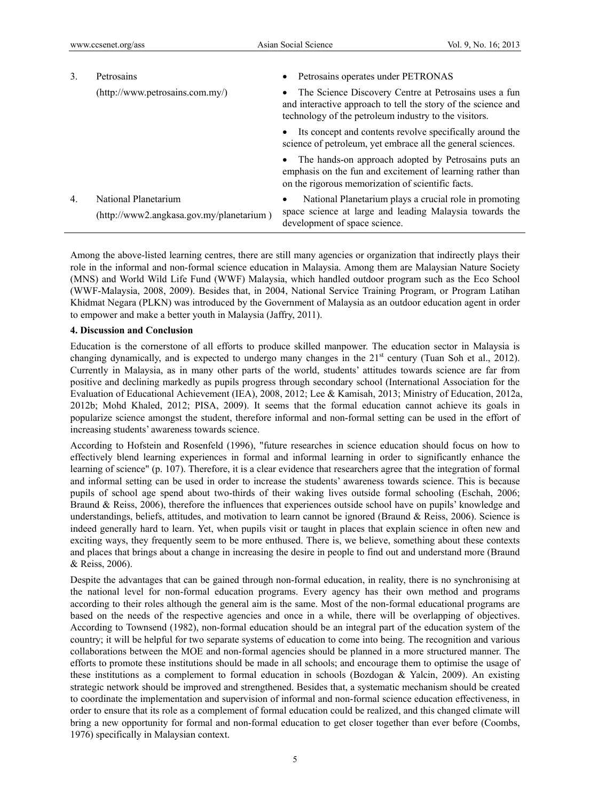| 3.               | Petrosains                                                       | Petrosains operates under PETRONAS<br>$\bullet$                                                                                                                                      |  |
|------------------|------------------------------------------------------------------|--------------------------------------------------------------------------------------------------------------------------------------------------------------------------------------|--|
|                  | (http://www.petrosains.com(my/)                                  | The Science Discovery Centre at Petrosains uses a fun<br>٠<br>and interactive approach to tell the story of the science and<br>technology of the petroleum industry to the visitors. |  |
|                  |                                                                  | Its concept and contents revolve specifically around the<br>science of petroleum, yet embrace all the general sciences.                                                              |  |
|                  |                                                                  | The hands-on approach adopted by Petrosains puts an<br>emphasis on the fun and excitement of learning rather than<br>on the rigorous memorization of scientific facts.               |  |
| $\overline{4}$ . | National Planetarium<br>(http://www2.angkasa.gov.my/planetarium) | National Planetarium plays a crucial role in promoting<br>space science at large and leading Malaysia towards the<br>development of space science.                                   |  |

Among the above-listed learning centres, there are still many agencies or organization that indirectly plays their role in the informal and non-formal science education in Malaysia. Among them are Malaysian Nature Society (MNS) and World Wild Life Fund (WWF) Malaysia, which handled outdoor program such as the Eco School (WWF-Malaysia, 2008, 2009). Besides that, in 2004, National Service Training Program, or Program Latihan Khidmat Negara (PLKN) was introduced by the Government of Malaysia as an outdoor education agent in order to empower and make a better youth in Malaysia (Jaffry, 2011).

## **4. Discussion and Conclusion**

Education is the cornerstone of all efforts to produce skilled manpower. The education sector in Malaysia is changing dynamically, and is expected to undergo many changes in the  $21<sup>st</sup>$  century (Tuan Soh et al., 2012). Currently in Malaysia, as in many other parts of the world, students' attitudes towards science are far from positive and declining markedly as pupils progress through secondary school (International Association for the Evaluation of Educational Achievement (IEA), 2008, 2012; Lee & Kamisah, 2013; Ministry of Education, 2012a, 2012b; Mohd Khaled, 2012; PISA, 2009). It seems that the formal education cannot achieve its goals in popularize science amongst the student, therefore informal and non-formal setting can be used in the effort of increasing students' awareness towards science.

According to Hofstein and Rosenfeld (1996), "future researches in science education should focus on how to effectively blend learning experiences in formal and informal learning in order to significantly enhance the learning of science" (p. 107). Therefore, it is a clear evidence that researchers agree that the integration of formal and informal setting can be used in order to increase the students' awareness towards science. This is because pupils of school age spend about two-thirds of their waking lives outside formal schooling (Eschah, 2006; Braund & Reiss, 2006), therefore the influences that experiences outside school have on pupils' knowledge and understandings, beliefs, attitudes, and motivation to learn cannot be ignored (Braund  $\&$  Reiss, 2006). Science is indeed generally hard to learn. Yet, when pupils visit or taught in places that explain science in often new and exciting ways, they frequently seem to be more enthused. There is, we believe, something about these contexts and places that brings about a change in increasing the desire in people to find out and understand more (Braund & Reiss, 2006).

Despite the advantages that can be gained through non-formal education, in reality, there is no synchronising at the national level for non-formal education programs. Every agency has their own method and programs according to their roles although the general aim is the same. Most of the non-formal educational programs are based on the needs of the respective agencies and once in a while, there will be overlapping of objectives. According to Townsend (1982), non-formal education should be an integral part of the education system of the country; it will be helpful for two separate systems of education to come into being. The recognition and various collaborations between the MOE and non-formal agencies should be planned in a more structured manner. The efforts to promote these institutions should be made in all schools; and encourage them to optimise the usage of these institutions as a complement to formal education in schools (Bozdogan & Yalcin, 2009). An existing strategic network should be improved and strengthened. Besides that, a systematic mechanism should be created to coordinate the implementation and supervision of informal and non-formal science education effectiveness, in order to ensure that its role as a complement of formal education could be realized, and this changed climate will bring a new opportunity for formal and non-formal education to get closer together than ever before (Coombs, 1976) specifically in Malaysian context.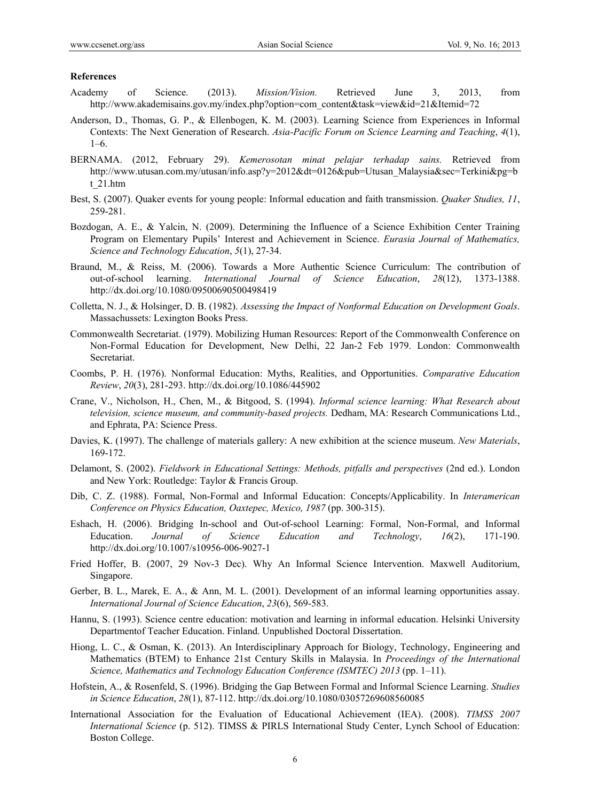#### **References**

- Academy of Science. (2013). *Mission/Vision.* Retrieved June 3, 2013, from http://www.akademisains.gov.my/index.php?option=com\_content&task=view&id=21&Itemid=72
- Anderson, D., Thomas, G. P., & Ellenbogen, K. M. (2003). Learning Science from Experiences in Informal Contexts: The Next Generation of Research. *Asia-Pacific Forum on Science Learning and Teaching*, *4*(1),  $1-6.$
- BERNAMA. (2012, February 29). *Kemerosotan minat pelajar terhadap sains.* Retrieved from http://www.utusan.com.my/utusan/info.asp?y=2012&dt=0126&pub=Utusan\_Malaysia&sec=Terkini&pg=b t\_21.htm
- Best, S. (2007). Quaker events for young people: Informal education and faith transmission. *Quaker Studies, 11*, 259-281.
- Bozdogan, A. E., & Yalcin, N. (2009). Determining the Influence of a Science Exhibition Center Training Program on Elementary Pupils' Interest and Achievement in Science. *Eurasia Journal of Mathematics, Science and Technology Education*, *5*(1), 27-34.
- Braund, M., & Reiss, M. (2006). Towards a More Authentic Science Curriculum: The contribution of out-of-school learning. *International Journal of Science Education*, *28*(12), 1373-1388. http://dx.doi.org/10.1080/09500690500498419
- Colletta, N. J., & Holsinger, D. B. (1982). *Assessing the Impact of Nonformal Education on Development Goals*. Massachussets: Lexington Books Press.
- Commonwealth Secretariat. (1979). Mobilizing Human Resources: Report of the Commonwealth Conference on Non-Formal Education for Development, New Delhi, 22 Jan-2 Feb 1979. London: Commonwealth Secretariat.
- Coombs, P. H. (1976). Nonformal Education: Myths, Realities, and Opportunities. *Comparative Education Review*, *20*(3), 281-293. http://dx.doi.org/10.1086/445902
- Crane, V., Nicholson, H., Chen, M., & Bitgood, S. (1994). *Informal science learning: What Research about television, science museum, and community-based projects.* Dedham, MA: Research Communications Ltd., and Ephrata, PA: Science Press.
- Davies, K. (1997). The challenge of materials gallery: A new exhibition at the science museum. *New Materials*, 169-172.
- Delamont, S. (2002). *Fieldwork in Educational Settings: Methods, pitfalls and perspectives* (2nd ed.). London and New York: Routledge: Taylor & Francis Group.
- Dib, C. Z. (1988). Formal, Non-Formal and Informal Education: Concepts/Applicability. In *Interamerican Conference on Physics Education, Oaxtepec, Mexico, 1987* (pp. 300-315).
- Eshach, H. (2006). Bridging In-school and Out-of-school Learning: Formal, Non-Formal, and Informal Education. *Journal of Science Education and Technology*, *16*(2), 171-190. http://dx.doi.org/10.1007/s10956-006-9027-1
- Fried Hoffer, B. (2007, 29 Nov-3 Dec). Why An Informal Science Intervention. Maxwell Auditorium, Singapore.
- Gerber, B. L., Marek, E. A., & Ann, M. L. (2001). Development of an informal learning opportunities assay. *International Journal of Science Education*, *23*(6), 569-583.
- Hannu, S. (1993). Science centre education: motivation and learning in informal education. Helsinki University Departmentof Teacher Education. Finland. Unpublished Doctoral Dissertation.
- Hiong, L. C., & Osman, K. (2013). An Interdisciplinary Approach for Biology, Technology, Engineering and Mathematics (BTEM) to Enhance 21st Century Skills in Malaysia. In *Proceedings of the International Science, Mathematics and Technology Education Conference (ISMTEC) 2013* (pp. 1–11).
- Hofstein, A., & Rosenfeld, S. (1996). Bridging the Gap Between Formal and Informal Science Learning. *Studies in Science Education*, *28*(1), 87-112. http://dx.doi.org/10.1080/03057269608560085
- International Association for the Evaluation of Educational Achievement (IEA). (2008). *TIMSS 2007 International Science* (p. 512). TIMSS & PIRLS International Study Center, Lynch School of Education: Boston College.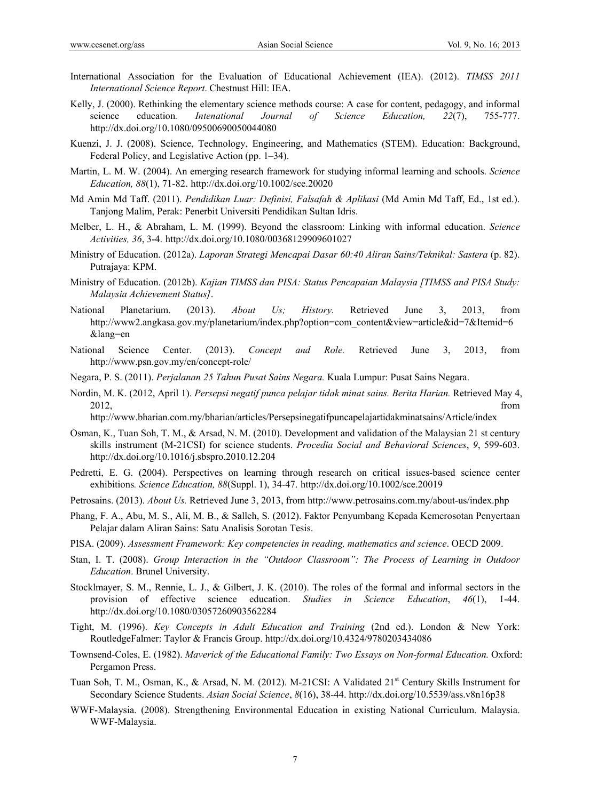- International Association for the Evaluation of Educational Achievement (IEA). (2012). *TIMSS 2011 International Science Report*. Chestnust Hill: IEA.
- Kelly, J. (2000). Rethinking the elementary science methods course: A case for content, pedagogy, and informal science education*. Intenational Journal of Science Education, 22*(7), 755-777. http://dx.doi.org/10.1080/09500690050044080
- Kuenzi, J. J. (2008). Science, Technology, Engineering, and Mathematics (STEM). Education: Background, Federal Policy, and Legislative Action (pp. 1–34).
- Martin, L. M. W. (2004). An emerging research framework for studying informal learning and schools. *Science Education, 88*(1), 71-82. http://dx.doi.org/10.1002/sce.20020
- Md Amin Md Taff. (2011). *Pendidikan Luar: Definisi, Falsafah & Aplikasi* (Md Amin Md Taff, Ed., 1st ed.). Tanjong Malim, Perak: Penerbit Universiti Pendidikan Sultan Idris.
- Melber, L. H., & Abraham, L. M. (1999). Beyond the classroom: Linking with informal education. *Science Activities, 36*, 3-4. http://dx.doi.org/10.1080/00368129909601027
- Ministry of Education. (2012a). *Laporan Strategi Mencapai Dasar 60:40 Aliran Sains/Teknikal: Sastera* (p. 82). Putrajaya: KPM.
- Ministry of Education. (2012b). *Kajian TIMSS dan PISA: Status Pencapaian Malaysia [TIMSS and PISA Study: Malaysia Achievement Status]*.
- National Planetarium. (2013). *About Us; History.* Retrieved June 3, 2013, from http://www2.angkasa.gov.my/planetarium/index.php?option=com\_content&view=article&id=7&Itemid=6 &lang=en
- National Science Center. (2013). *Concept and Role.* Retrieved June 3, 2013, from http://www.psn.gov.my/en/concept-role/
- Negara, P. S. (2011). *Perjalanan 25 Tahun Pusat Sains Negara.* Kuala Lumpur: Pusat Sains Negara.
- Nordin, M. K. (2012, April 1). *Persepsi negatif punca pelajar tidak minat sains. Berita Harian.* Retrieved May 4,  $2012,$  from

http://www.bharian.com.my/bharian/articles/Persepsinegatifpuncapelajartidakminatsains/Article/index

- Osman, K., Tuan Soh, T. M., & Arsad, N. M. (2010). Development and validation of the Malaysian 21 st century skills instrument (M-21CSI) for science students. *Procedia Social and Behavioral Sciences*, *9*, 599-603. http://dx.doi.org/10.1016/j.sbspro.2010.12.204
- Pedretti, E. G. (2004). Perspectives on learning through research on critical issues-based science center exhibitions*. Science Education, 88*(Suppl. 1), 34-47. http://dx.doi.org/10.1002/sce.20019
- Petrosains. (2013). *About Us.* Retrieved June 3, 2013, from http://www.petrosains.com.my/about-us/index.php
- Phang, F. A., Abu, M. S., Ali, M. B., & Salleh, S. (2012). Faktor Penyumbang Kepada Kemerosotan Penyertaan Pelajar dalam Aliran Sains: Satu Analisis Sorotan Tesis.
- PISA. (2009). *Assessment Framework: Key competencies in reading, mathematics and science*. OECD 2009.
- Stan, I. T. (2008). *Group Interaction in the "Outdoor Classroom": The Process of Learning in Outdoor Education*. Brunel University.
- Stocklmayer, S. M., Rennie, L. J., & Gilbert, J. K. (2010). The roles of the formal and informal sectors in the provision of effective science education. *Studies in Science Education*, *46*(1), 1-44. http://dx.doi.org/10.1080/03057260903562284
- Tight, M. (1996). *Key Concepts in Adult Education and Training* (2nd ed.). London & New York: RoutledgeFalmer: Taylor & Francis Group. http://dx.doi.org/10.4324/9780203434086
- Townsend-Coles, E. (1982). *Maverick of the Educational Family: Two Essays on Non-formal Education.* Oxford: Pergamon Press.
- Tuan Soh, T. M., Osman, K., & Arsad, N. M. (2012). M-21CSI: A Validated 21<sup>st</sup> Century Skills Instrument for Secondary Science Students. *Asian Social Science*, *8*(16), 38-44. http://dx.doi.org/10.5539/ass.v8n16p38
- WWF-Malaysia. (2008). Strengthening Environmental Education in existing National Curriculum. Malaysia. WWF-Malaysia.